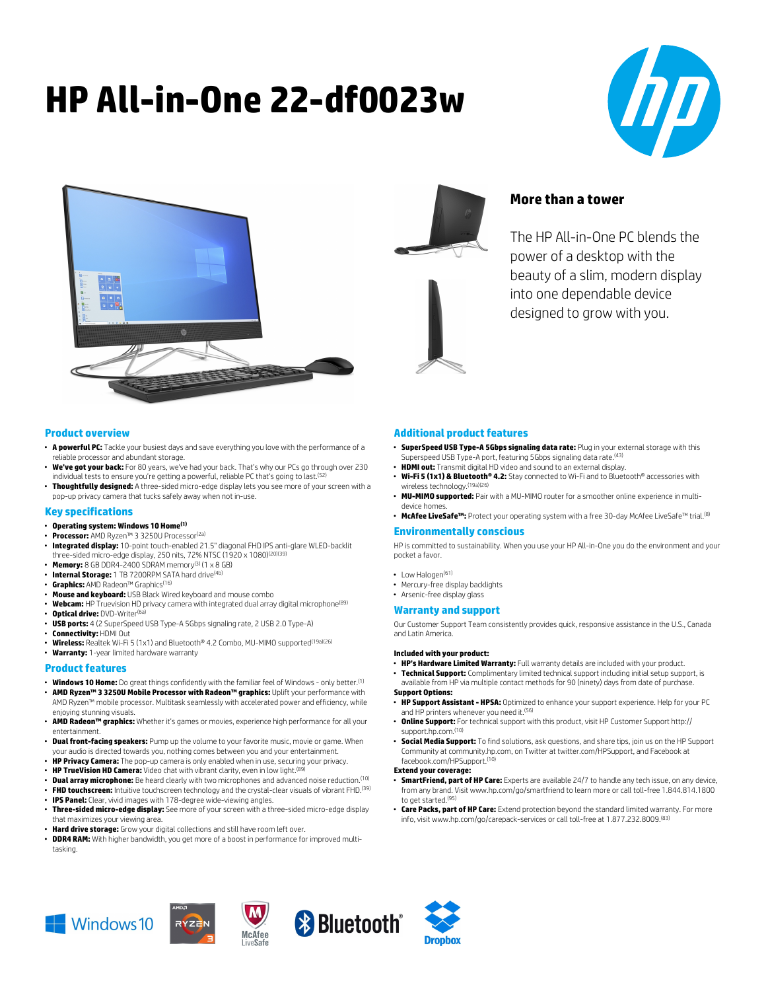# **HP All-in-One 22-df0023w**





# **More than a tower**

The HP All-in-One PC blends the power of a desktop with the beauty of a slim, modern display into one dependable device designed to grow with you.

## **Product overview**

- **A powerful PC:** Tackle your busiest days and save everything you love with the performance of a reliable processor and abundant storage.
- **We've got your back:** For 80 years, we've had your back. That's why our PCs go through over 230 individual tests to ensure you're getting a powerful, reliable PC that's going to last.<sup>(5</sup>)
- **Thoughtfully designed:** A three-sided micro-edge display lets you see more of your screen with a pop-up privacy camera that tucks safely away when not in-use.

#### **Key specifications**

- **Operating system: Windows 10 Home(1)**
- **Processor:** AMD Ryzen™ 3 3250U Processor(2a)
- **Integrated display:** 10-point touch-enabled 21.5" diagonal FHD IPS anti-glare WLED-backlit three-sided micro-edge display, 250 nits, 72% NTSC (1920 x 1080)(20)(39)
- **Memory:** 8 GB DDR4-2400 SDRAM memory(3) (1 x 8 GB)
- **Internal Storage:** 1 TB 7200RPM SATA hard drive(4b)
- **Graphics:** AMD Radeon™ Graphics(16)
- **Mouse and keyboard:** USB Black Wired keyboard and mouse combo
- **Webcam:** HP Truevision HD privacy camera with integrated dual array digital microphone(89) **• Optical drive: DVD-Writer<sup>(6a</sup>**
- **USB ports:** 4 (2 SuperSpeed USB Type-A 5Gbps signaling rate, 2 USB 2.0 Type-A)
- **Connectivity:** HDMI Out
- **Wireless:** Realtek Wi-Fi 5 (1x1) and Bluetooth® 4.2 Combo, MU-MIMO supported(19a)(26)
- **Warranty:** 1-year limited hardware warranty

#### **Product features**

- **Windows 10 Home:** Do great things confidently with the familiar feel of Windows only better.(1) • **AMD Ryzen™ 3 3250U Mobile Processor with Radeon™ graphics:** Uplift your performance with
- AMD Ryzen™ mobile processor. Multitask seamlessly with accelerated power and efficiency, while enjoying stunning visuals.
- **AMD Radeon™ graphics:** Whether it's games or movies, experience high performance for all your entertainment.
- **Dual front-facing speakers:** Pump up the volume to your favorite music, movie or game. When your audio is directed towards you, nothing comes between you and your entertainment.
- **HP Privacy Camera:** The pop-up camera is only enabled when in use, securing your privacy.
- **HP TrueVision HD Camera:** Video chat with vibrant clarity, even in low light.<sup>(8</sup>)
- **Dual array microphone:** Be heard clearly with two microphones and advanced noise reduction.(10)
- **FHD touchscreen:** Intuitive touchscreen technology and the crystal-clear visuals of vibrant FHD.<sup>(39)</sup> • **IPS Panel:** Clear, vivid images with 178-degree wide-viewing angles.
- **Three-sided micro-edge display:** See more of your screen with a three-sided micro-edge display that maximizes your viewing area.
- **Hard drive storage:** Grow your digital collections and still have room left over.
- **DDR4 RAM:** With higher bandwidth, you get more of a boost in performance for improved multitasking.

# **Additional product features**

- **SuperSpeed USB Type-A 5Gbps signaling data rate:** Plug in your external storage with this Superspeed USB Type-A port, featuring 5Gbps signaling data rate.<sup>(43</sup>)
- **HDMI out:** Transmit digital HD video and sound to an external display.
- **Wi-Fi 5 (1x1) & Bluetooth® 4.2:** Stay connected to Wi-Fi and to Bluetooth® accessories with wireless technology.(19a)(26)
- **MU-MIMO supported:** Pair with a MU-MIMO router for a smoother online experience in multidevice homes.
- McAfee LiveSafe<sup>m</sup>: Protect your operating system with a free 30-day McAfee LiveSafe<sup>™</sup> trial.<sup>(8)</sup>

# **Environmentally conscious**

HP is committed to sustainability. When you use your HP All-in-One you do the environment and your pocket a favor.

- Low Halogen<sup>(61)</sup>
- Mercury-free display backlights
- Arsenic-free display glass

#### **Warranty and support**

Our Customer Support Team consistently provides quick, responsive assistance in the U.S., Canada and Latin America.

#### **Included with your product:**

- **HP's Hardware Limited Warranty:** Full warranty details are included with your product.
- **Technical Support:** Complimentary limited technical support including initial setup support, is available from HP via multiple contact methods for 90 (ninety) days from date of purchase.

#### **Support Options:**

- **HP Support Assistant HPSA:** Optimized to enhance your support experience. Help for your PC and HP printers whenever you need it.<sup>(56)</sup>
- **Online Support:** For technical support with this product, visit HP Customer Support http:// support.hp.com.(10)
- **Social Media Support:** To find solutions, ask questions, and share tips, join us on the HP Support Community at community.hp.com, on Twitter at twitter.com/HPSupport, and Facebook at facebook.com/HPSupport.(10)

#### **Extend your coverage:**

- **SmartFriend, part of HP Care:** Experts are available 24/7 to handle any tech issue, on any device, from any brand. Visit www.hp.com/go/smartfriend to learn more or call toll-free 1.844.814.1800 to get started.<sup>(95)</sup>
- **Care Packs, part of HP Care:** Extend protection beyond the standard limited warranty. For more info, visit www.hp.com/go/carepack-services or call toll-free at 1.877.232.8009.<sup>(83)</sup>